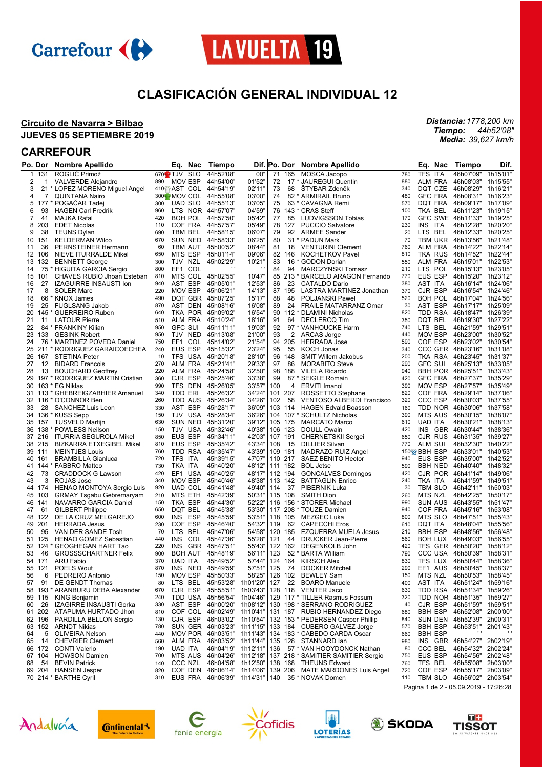



# **CLASIFICACIÓN GENERAL INDIVIDUAL 12**

### **Circuito de Navarra > Bilbao JUEVES 05 SEPTIEMBRE 2019**

## **CARREFOUR**

|    | Po. Dor | Nombre Apellido                   |            | Eq.<br>Nac                         | Tiempo                     | Dif. Po. Dor |     |           | <b>Nombre Apellido</b>                            |     | Eq.<br>Nac                 | Tiempo             | Dif.     |
|----|---------|-----------------------------------|------------|------------------------------------|----------------------------|--------------|-----|-----------|---------------------------------------------------|-----|----------------------------|--------------------|----------|
| 1  | 131     | ROGLIČ Primož                     |            | 670 <sup>2</sup> TJV<br><b>SLO</b> | 44h52'08"                  | 00"          | 71  | 165       | MOSCA Jacopo                                      | 780 | TFS ITA                    | 46h07'09"          | 1h15'01" |
| 2  | 1       | <b>VALVERDE Alejandro</b>         | 890        | MOV ESP                            | 44h54'00"                  | 01'52"       | 72  |           | 17 * JAUREGUI Quentin                             | 880 | <b>ALM FRA</b>             | 46h08'03"          | 1h15'55' |
| 3  |         | 21 * LOPEZ MORENO Miguel Angel    |            | 410 AST COL                        | 44h54'19"                  | 02'11'       | 73  | 68        | <b>STYBAR Zdeněk</b>                              | 340 | DQT CZE                    | 46h08'29"          | 1h16'21' |
| 4  | 7       | <b>QUINTANA Nairo</b>             |            | 300 MOV COL                        | 44h55'08"                  | 03'00'       | 74  |           | 82 * ARMIRAIL Bruno                               | 480 | <b>GFC FRA</b>             | 46h08'31" 1h16'23" |          |
| 5  |         | 177 * POGAČAR Tadej               | 300        | <b>UAD SLO</b>                     | 44h55'13"                  | 03'05'       | 75  |           | 63 * CAVAGNA Remi                                 | 570 | DQT FRA                    | 46h09'17" 1h17'09' |          |
| 6  | 93      | <b>HAGEN Carl Fredrik</b>         | 960        | LTS NOR 44h57'07"                  |                            | 04'59'       | 76  |           | 143 * CRAS Steff                                  | 100 | TKA BEL                    | 46h11'23"          | 1h19'15' |
| 7  | 41      | MAJKA Rafal                       | 420        | <b>BOH POL</b>                     | 44h57'50"                  | 05'42'       | 77  | 85        | <b>LUDVIGSSON Tobias</b>                          | 170 | <b>GFC SWE</b>             | 46h11'33"          | 1h19'25' |
| 8  | 203     | <b>EDET Nicolas</b>               | 110        | COF FRA                            | 44h57'57"                  | 05'49'       |     | 78 127    | <b>PUCCIO Salvatore</b>                           | 230 | INS ITA                    | 46h12'28"          | 1h20'20' |
| 9  | 38      | <b>TEUNS Dylan</b>                | 690        | TBM BEL                            | 44h58'15"                  | 06'07"       | 79  | 92        | <b>ARMEE Sander</b>                               | 20  | LTS BEL                    | 46h12'33"          | 1h20'25' |
| 10 | 151     | <b>KELDERMAN Wilco</b>            | 670        | <b>SUN NED</b>                     | 44h58'33"                  | 06'25'       | 80  |           | 31 * PADUN Mark                                   | 70  | <b>TBM UKR</b>             | 46h13'56"          | 1h21'48' |
| 11 | 36      | PERNSTEINER Hermann               | 60         | TBM AUT                            | 45h00'52"                  | 08'44'       | 81  | 18        | <b>VENTURINI Clement</b>                          | 760 | <b>ALM FRA</b>             | 46h14'22" 1h22'14" |          |
| 12 | 106     | NIEVE ITURRALDE Mikel             | 650        | MTS ESP                            | 45h01'14"                  | 09'06'       |     | 82 146    | <b>KOCHETKOV Pavel</b>                            | 810 | <b>TKA RUS</b>             | 46h14'52"          | 1h22'44' |
| 13 | 132     | <b>BENNETT George</b>             | 300        | TJV NZL                            | 45h02'29"                  | 10'21"       | 83  | $16*$     | <b>GODON Dorian</b>                               | 550 | <b>ALM FRA</b>             | 46h15'01" 1h22'53" |          |
| 14 |         | 75 * HIGUITA GARCIA Sergio        | 800        | EF1 COL                            | $\cdot$                    |              | 84  | 94        | MARCZYNSKI Tomasz                                 | 210 | LTS POL                    | 46h15'13" 1h23'05' |          |
| 15 | 101     | <b>CHAVES RUBIO Jhoan Esteban</b> | 810        | MTS COL                            | 45h02'55"                  | 10'47"       |     |           | 85 213 * BARCELO ARAGON Fernando                  | 770 | EUS ESP                    | 46h15'20"          | 1h23'12' |
| 16 | 27      | <b>IZAGUIRRE INSAUSTI Ion</b>     | 940        | AST ESP                            | 45h05'01"                  | 12'53"       | 86  | 23        | <b>CATALDO Dario</b>                              | 380 | AST ITA                    | 46h16'14" 1h24'06' |          |
| 17 | 8       | <b>SOLER Marc</b>                 | 220        | <b>MOV ESP</b>                     | 45h06'21"                  | 14'13'       |     | 87 195    | LASTRA MARTINEZ Jonathan                          | 370 | CJR ESP                    | 46h16'54"          | 1h24'46' |
| 18 |         | 66 * KNOX James                   | 490        | DQT GBR                            | 45h07'25"                  | 15'17"       | 88  | 48        | <b>POLJANSKI Pawel</b>                            | 520 | <b>BOH POL</b>             | 46h17'04"          | 1h24'56' |
| 19 | 25      | <b>FUGLSANG Jakob</b>             | 870        | AST DEN                            | 45h08'16"                  | 16'08'       | 89  | 24        | FRAILE MATARRANZ Omar                             | 30  | AST ESP                    | 46h17'17"          | 1h25'09" |
|    |         | 145 * GUERREIRO Ruben             | 640        | TKA POR 45h09'02"                  |                            | 16'54'       |     |           |                                                   | 820 | TDD RSA                    | 46h18'47"          | 1h26'39' |
| 20 |         |                                   |            |                                    |                            |              |     |           | 90 112 * DLAMINI Nicholas                         | 350 |                            |                    |          |
| 21 | 11      | <b>LATOUR Pierre</b>              | 510<br>950 | ALM FRA                            | 45h10'24"                  | 18'16'       | 91  | 64        | <b>DECLERCQ Tim</b>                               |     | DQT BEL                    | 46h19'30"          | 1h27'22" |
| 22 |         | 84 * FRANKINY Kilian              |            | <b>GFC SUI</b>                     | 45h11'11"                  | 19'03"       | 92  | $97*$     | <b>VANHOUCKE Harm</b>                             | 740 | <b>LTS</b><br>BEL          | 46h21'59"          | 1h29'51' |
| 23 | 133     | <b>GESINK Robert</b>              | 950        | TJV NED                            | 45h13'08"                  | 21'00'       | 93  | 2         | ARCAS Jorge                                       | 440 | <b>MOV ESP</b>             | 46h23'00"          | 1h30'52' |
| 24 |         | 76 * MARTINEZ POVEDA Daniel       | 750        | EF1<br>COL                         | 45h14'02"                  | 21'54"       |     | 94 205    | <b>HERRADA Jose</b>                               | 590 | COF ESP                    | 46h23'02"          | 1h30'54' |
|    | 25 211  | * RODRIGUEZ GARAICOECHEA          | 240        | <b>EUS ESP</b>                     | 45h15'32"                  | 23'24"       | 95  | 55        | <b>KOCH Jonas</b>                                 | 340 | CCC GER                    | 46h23'16"          | 1h31'08' |
| 26 | 167     | <b>STETINA Peter</b>              | 10         | TFS USA                            | 45h20'18"                  | 28'10'       |     | 96 148    | <b>SMIT Willem Jakobus</b>                        | 200 | TKA RSA                    | 46h23'45"          | 1h31'37' |
| 27 | 12      | <b>BIDARD Francois</b>            | 270        | ALM FRA                            | 45h21'41"                  | 29'33"       | 97  | 86        | <b>MORABITO Steve</b>                             | 290 | <b>GFC SUI</b>             | 46h25'13"          | 1h33'05" |
| 28 | 13      | <b>BOUCHARD Geoffrey</b>          | 220        | ALM FRA                            | 45h24'58"                  | 32'50"       | 98  | 188       | <b>VILELA Ricardo</b>                             | 940 | <b>BBH POR</b>             | 46h25'51" 1h33'43" |          |
| 29 |         | 197 * RODRIGUEZ MARTIN Cristian   | 360        | CJR ESP                            | 45h25'46"                  | 33'38'       | 99  |           | 87 * SEIGLE Romain                                | 420 | <b>GFC FRA</b>             | 46h27'37"          | 1h35'29" |
| 30 |         | 163 * EG Niklas                   | 990        | TFS DEN                            | 45h26'05"                  | 33'57"       | 100 | 4         | <b>ERVITI Imanol</b>                              | 390 | <b>MOV ESP</b>             | 46h27'57"          | 1h35'49" |
|    |         | 31 113 * GHEBREIGZABHIER Amanuel  | 340        | TDD ERI                            | 45h26'32"                  | 34'24"       | 101 | 207       | ROSSETTO Stephane                                 | 820 | COF FRA                    | 46h29'14"          | 1h37'06' |
|    |         | 32 116 * O'CONNOR Ben             | 260        | TDD AUS                            | 45h26'34"                  | 34'26'       | 102 | 58        | <b>VENTOSO ALBERDI Francisco</b>                  | 320 | <b>CCC ESP</b>             | 46h30'03"          | 1h37'55' |
| 33 | 28      | SANCHEZ Luis Leon                 | 330        | AST ESP                            | 45h28'17"                  | 36'09"       |     | 103 114   | <b>HAGEN Edvald Boasson</b>                       | 160 | TDD NOR                    | 46h30'06"          | 1h37'58' |
| 34 |         | 136 * KUSS Sepp                   | 150        | TJV USA                            | 45h28'34"                  | 36'26"       |     | 104 107 * | <b>SCHULTZ Nicholas</b>                           | 390 | <b>MTS AUS</b>             | 46h30'15"          | 1h38'07" |
|    | 35 157  | <b>TUSVELD Martijn</b>            | 630        | SUN NED                            | 45h31'20"                  | 39'12"       |     | 105 175   | <b>MARCATO Marco</b>                              | 610 | <b>UAD ITA</b>             | 46h30'21"          | 1h38'13" |
| 36 | 138     | <b>POWLESS Neilson</b>            | 150        | TJV USA                            | 45h32'46"                  | 40'38"       |     | 106 123   | DOULL Owain                                       | 420 | <b>INS</b><br>GBR          | 46h30'44"          | 1h38'36' |
|    | 37 216  | <b>ITURRIA SEGUROLA Mikel</b>     | 850        | EUS ESP                            | 45h34'11"                  | 42'03"       |     | 107 191   | CHERNETSKII Sergei                                | 650 | CJR RUS                    | 46h31'35"          | 1h39'27' |
|    | 38 215  | <b>BIZKARRA ETXEGIBEL Mikel</b>   | 810        | EUS ESP                            | 45h35'42"                  | 43'34"       | 108 | 15        | <b>DILLIER Silvan</b>                             | 770 | ALM SUI                    | 46h32'30"          | 1h40'22' |
|    | 39 111  | <b>MEINTJES Louis</b>             | 760        | TDD RSA                            | 45h35'47"                  | 43'39"       | 109 | 181       | MADRAZO RUIZ Angel                                |     | 150 BBH ESP                | 46h33'01"          | 1h40'53' |
| 40 | 161     | <b>BRAMBILLA Gianluca</b>         | 720        | <b>TFS</b><br>ITA                  | 45h39'15"                  | 47'07"       | 110 | 217       | SAEZ BENITO Hector                                | 940 | EUS ESP                    | 46h35'00"          | 1h42'52' |
| 41 |         | 144 * FABBRO Matteo               | 730        | TKA ITA                            | 45h40'20"                  | 48'12"       |     | 111 182   | <b>BOL Jetse</b>                                  | 590 | <b>BBH NED</b>             | 46h40'40"          | 1h48'32" |
| 42 | 73      | <b>CRADDOCK G Lawson</b>          | 420        | EF1 USA                            | 45h40'25"                  | 48'17"       |     | 112 194   | <b>GONCALVES Domingos</b>                         | 420 | CJR POR                    | 46h41'14"          | 1h49'06' |
| 43 | 3       | ROJAS Jose                        | 340        | MOV ESP                            | 45h40'46"                  | 48'38"       |     | 113 142   | <b>BATTAGLIN Enrico</b>                           | 240 | TKA ITA                    | 46h41'59"          | 1h49'51' |
|    | 44 174  | HENAO MONTOYA Sergio Luis         | 920        | UAD COL                            | 45h41'48"                  | 49'40"       | 114 | 37        | PIBERNIK Luka                                     | 30  | TBM SLO                    | 46h42'11"          | 1h50'03' |
| 45 | 103     | <b>GRMAY Tsgabu Gebremaryam</b>   | 210        | MTS ETH                            | 45h42'39"                  | 50'31"       |     | 115 108   | <b>SMITH Dion</b>                                 | 260 | MTS NZL                    | 46h42'25"          | 1h50'17" |
| 46 | 141     | NAVARRO GARCIA Daniel             | 150        | TKA ESP                            | 45h44'30"                  | 52'22"       |     |           | 116 156 * STORER Michael                          | 990 | <b>SUN AUS</b>             | 46h43'55"          | 1h51'47' |
| 47 | 61      | <b>GILBERT Philippe</b>           | 650        | DQT BEL                            | 45h45'38"                  | 53'30'       |     |           | 117 208 * TOUZE Damien                            | 940 | COF FRA                    | 46h45'16"          | 1h53'08' |
| 48 | 122     | DE LA CRUZ MELGAREJO              | 600        | INS.<br>ESP                        | 45h45'59"                  | 53'51"       |     | 118 105   | MEZGEC Luka                                       | 800 | MTS SLO                    | 46h47'51"          | 1h55'43" |
| 49 | 201     | <b>HERRADA Jesus</b>              | 230        | COF ESP                            | 45h46'40"                  | 54'32"       | 119 | 62        | <b>CAPECCHI Eros</b>                              | 610 | <b>DOT ITA</b>             | 46h48'04"          | 1h55'56' |
| 50 | 95      | VAN DER SANDE Tosh                | 70         | LTS BEL                            | 45h47'06"                  | 54'58'       |     | 120 185   | <b>EZQUERRA MUELA Jesus</b>                       | 210 | <b>BBH ESP</b>             | 46h48'56"          | 1h56'48' |
|    | 51 125  | <b>HENAO GOMEZ Sebastian</b>      | 440        | <b>INS</b><br>COL                  | 45h47'36"                  | 55'28"       | 121 | 44        | <b>DRUCKER Jean-Pierre</b>                        | 560 | <b>BOH LUX</b>             | 46h49'03"          | 1h56'55' |
|    |         |                                   | 220        |                                    | GBR 45h47'51"              |              |     |           |                                                   |     |                            |                    | 1h58'12" |
|    | 52 124  | <b>GEOGHEGAN HART Tao</b>         |            | <b>INS</b>                         |                            | 55'43"       |     | 122 162   | DEGENKOLB John                                    | 420 | TFS GER<br><b>CCC USA</b>  | 46h50'20"          |          |
| 53 | 46      | <b>GROSSSCHARTNER Felix</b>       | 900        | <b>BOH AUT</b>                     | 45h48'19"                  | 56'11"       | 123 |           | 52 * BARTA William                                | 790 | TFS LUX                    | 46h50'39"          | 1h58'31' |
|    | 54 171  | <b>ARU Fabio</b>                  | 370        | <b>UAD ITA</b>                     | 45h49'52"                  | 57'44"       |     | 124 164   | <b>KIRSCH Alex</b>                                | 830 |                            | 46h50'44"          | 1h58'36' |
|    | 55 121  | POELS Wout                        | 870        | INS                                | NED 45h49'59"              | 57'51"       | 125 | -74       | <b>DOCKER Mitchell</b>                            | 290 | EF1<br>AUS                 | 46h50'45" 1h58'37" |          |
| 56 | 6       | PEDRERO Antonio                   | 150        | MOV ESP                            | 45h50'33"                  | 58'25"       |     |           | 126 102 BEWLEY Sam                                | 150 | MTS NZL                    | 46h50'53" 1h58'45" |          |
| 57 | 91      | DE GENDT Thomas                   | 80         | LTS BEL                            | 45h53'28" 1h01'20"         |              | 127 | 22        | <b>BOARO Manuele</b>                              | 400 | AST ITA                    | 46h51'24" 1h59'16" |          |
|    |         | 58 193 * ARANBURU DEBA Alexander  | 670        | CJR ESP                            | 45h55'51" 1h03'43"         |              |     |           | 128 118 VENTER Jaco                               | 630 | TDD RSA                    | 46h51'34"          | 1h59'26" |
|    | 59 115  | <b>KING Benjamin</b>              | 240        | TDD USA 45h56'54" 1h04'46"         |                            |              |     |           | 129 117 * TILLER Rasmus Fossum                    | 320 | TDD NOR                    | 46h51'35" 1h59'27" |          |
| 60 | 26      | <b>IZAGIRRE INSAUSTI Gorka</b>    | 330        | AST ESP                            | 46h00'20" 1h08'12"         |              |     |           | 130 198 * SERRANO RODRIGUEZ                       | 40  | CJR ESP                    | 46h51'59" 1h59'51" |          |
|    | 61 202  | ATAPUMA HURTADO Jhon              | 810        | COF COL                            | 46h02'49" 1h10'41"         |              |     |           | 131 187 RUBIO HERNANDEZ Diego                     | 680 | <b>BBH ESP</b>             | 46h52'08" 2h00'00" |          |
|    | 62 196  | PARDILLA BELLON Sergio            | 130        | CJR ESP                            | 46h03'02" 1h10'54"         |              |     |           | 132 153 * PEDERSEN Casper Phillip                 | 840 | SUN DEN                    | 46h52'39" 2h00'31" |          |
|    | 63 152  | <b>ARNDT Nikias</b>               | 780        | SUN GER 46h03'23" 1h11'15"         |                            |              |     |           | 133 184 CUBERO GALVEZ Jorge                       | 570 | <b>BBH ESP</b>             | 46h53'51"          | 2h01'43" |
| 64 | 5       | OLIVEIRA Nelson                   | 440        |                                    | MOV POR 46h03'51" 1h11'43" |              |     |           | 134 183 * CABEDO CARDA Oscar                      | 660 | <b>BBH ESP</b>             |                    |          |
| 65 | 14      | <b>CHEVRIER Clement</b>           | 560        | ALM FRA                            | 46h03'52" 1h11'44"         |              |     |           | 135 128 STANNARD lan                              | 980 | INS GBR 46h54'27" 2h02'19" |                    |          |
|    | 66 172  | <b>CONTI Valerio</b>              | 190        | UAD ITA                            | 46h04'19" 1h12'11"         |              | 136 |           | 57 * VAN HOOYDONCK Nathan                         | 80  | CCC BEL                    | 46h54'32"          | 2h02'24" |
|    | 67 104  | <b>HOWSON Damien</b>              | 700        | MTS AUS 46h04'26" 1h12'18"         |                            |              |     |           | 137 218 * SAMITIER SAMITIER Sergio                | 750 | EUS ESP                    | 46h54'56" 2h02'48" |          |
| 68 | 54      | <b>BEVIN Patrick</b>              | 140        | CCC NZL                            | 46h04'58" 1h12'50"         |              |     |           | 138 168 THEUNS Edward                             | 760 | TFS BEL                    | 46h55'08" 2h03'00" |          |
|    | 69 204  | <b>HANSEN Jesper</b>              | 820        | COF DEN 46h06'14" 1h14'06"         |                            |              |     |           | 139 206 MATE MARDONES Luis Angel                  | 720 | COF ESP                    | 46h55'17" 2h03'09" |          |
|    |         | 70 214 * BARTHE Cyril             | 310        |                                    |                            |              |     |           | EUS FRA 46h06'39" 1h14'31"   140 35 * NOVAK Domen | 110 | TBM SLO 46h56'02" 2h03'54" |                    |          |
|    |         |                                   |            |                                    |                            |              |     |           |                                                   |     |                            |                    |          |

Andalvoía













Pagina 1 de 2 - 05.09.2019 - 17:26:28

*Distancia: 1778,200 km*

*44h52'08" 39,627 km/h*

*Tiempo: Media:*